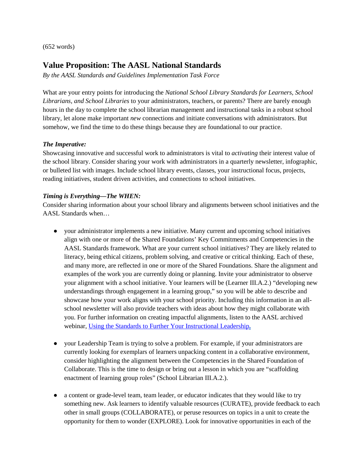(652 words)

## **Value Proposition: The AASL National Standards**

*By the AASL Standards and Guidelines Implementation Task Force*

What are your entry points for introducing the *National School Library Standards for Learners, School Librarians, and School Libraries* to your administrators, teachers, or parents? There are barely enough hours in the day to complete the school librarian management and instructional tasks in a robust school library, let alone make important *new* connections and initiate conversations with administrators. But somehow, we find the time to do these things because they are foundational to our practice.

## *The Imperative:*

Showcasing innovative and successful work to administrators is vital to *activating* their interest value of the school library. Consider sharing your work with administrators in a quarterly newsletter, infographic, or bulleted list with images. Include school library events, classes, your instructional focus, projects, reading initiatives, student driven activities, and connections to school initiatives.

## *Timing is Everything—The WHEN:*

Consider sharing information about your school library and alignments between school initiatives and the AASL Standards when…

- your administrator implements a new initiative. Many current and upcoming school initiatives align with one or more of the Shared Foundations' Key Commitments and Competencies in the AASL Standards framework. What are your current school initiatives? They are likely related to literacy, being ethical citizens, problem solving, and creative or critical thinking. Each of these, and many more, are reflected in one or more of the Shared Foundations. Share the alignment and examples of the work you are currently doing or planning. Invite your administrator to observe your alignment with a school initiative. Your learners will be (Learner III.A.2.) "developing new understandings through engagement in a learning group," so you will be able to describe and showcase how your work aligns with your school priority. Including this information in an allschool newsletter will also provide teachers with ideas about how they might collaborate with you. For further information on creating impactful alignments, listen to the AASL archived webinar, [Using the Standards to Further Your Instructional Leadership](http://www.ala.org/aasl/ecollab/leadership)**.**
- your Leadership Team is trying to solve a problem. For example, if your administrators are currently looking for exemplars of learners unpacking content in a collaborative environment, consider highlighting the alignment between the Competencies in the Shared Foundation of Collaborate. This is the time to design or bring out a lesson in which you are "scaffolding enactment of learning group roles" (School Librarian III.A.2.).
- a content or grade-level team, team leader, or educator indicates that they would like to try something new. Ask learners to identify valuable resources (CURATE), provide feedback to each other in small groups (COLLABORATE), or peruse resources on topics in a unit to create the opportunity for them to wonder (EXPLORE). Look for innovative opportunities in each of the